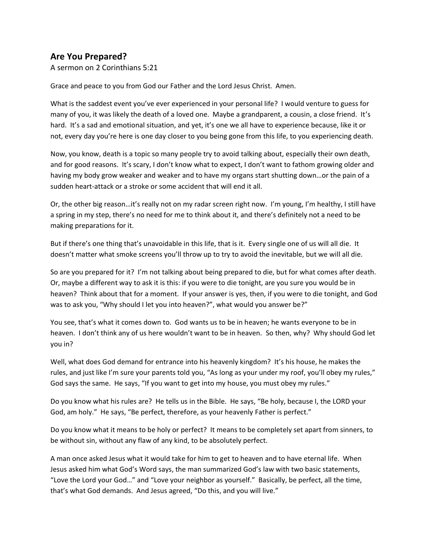## **Are You Prepared?**

A sermon on 2 Corinthians 5:21

Grace and peace to you from God our Father and the Lord Jesus Christ. Amen.

What is the saddest event you've ever experienced in your personal life? I would venture to guess for many of you, it was likely the death of a loved one. Maybe a grandparent, a cousin, a close friend. It's hard. It's a sad and emotional situation, and yet, it's one we all have to experience because, like it or not, every day you're here is one day closer to you being gone from this life, to you experiencing death.

Now, you know, death is a topic so many people try to avoid talking about, especially their own death, and for good reasons. It's scary, I don't know what to expect, I don't want to fathom growing older and having my body grow weaker and weaker and to have my organs start shutting down…or the pain of a sudden heart-attack or a stroke or some accident that will end it all.

Or, the other big reason…it's really not on my radar screen right now. I'm young, I'm healthy, I still have a spring in my step, there's no need for me to think about it, and there's definitely not a need to be making preparations for it.

But if there's one thing that's unavoidable in this life, that is it. Every single one of us will all die. It doesn't matter what smoke screens you'll throw up to try to avoid the inevitable, but we will all die.

So are you prepared for it? I'm not talking about being prepared to die, but for what comes after death. Or, maybe a different way to ask it is this: if you were to die tonight, are you sure you would be in heaven? Think about that for a moment. If your answer is yes, then, if you were to die tonight, and God was to ask you, "Why should I let you into heaven?", what would you answer be?"

You see, that's what it comes down to. God wants us to be in heaven; he wants everyone to be in heaven. I don't think any of us here wouldn't want to be in heaven. So then, why? Why should God let you in?

Well, what does God demand for entrance into his heavenly kingdom? It's his house, he makes the rules, and just like I'm sure your parents told you, "As long as your under my roof, you'll obey my rules," God says the same. He says, "If you want to get into my house, you must obey my rules."

Do you know what his rules are? He tells us in the Bible. He says, "Be holy, because I, the LORD your God, am holy." He says, "Be perfect, therefore, as your heavenly Father is perfect."

Do you know what it means to be holy or perfect? It means to be completely set apart from sinners, to be without sin, without any flaw of any kind, to be absolutely perfect.

A man once asked Jesus what it would take for him to get to heaven and to have eternal life. When Jesus asked him what God's Word says, the man summarized God's law with two basic statements, "Love the Lord your God…" and "Love your neighbor as yourself." Basically, be perfect, all the time, that's what God demands. And Jesus agreed, "Do this, and you will live."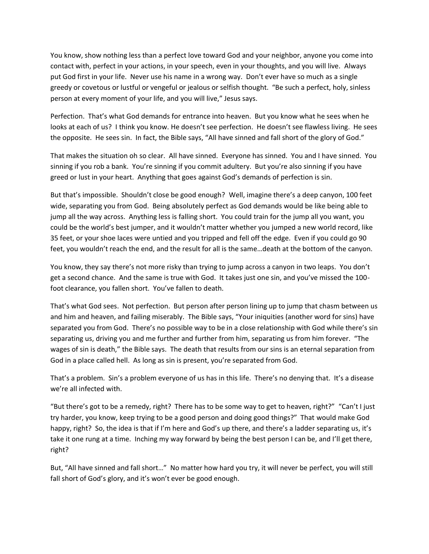You know, show nothing less than a perfect love toward God and your neighbor, anyone you come into contact with, perfect in your actions, in your speech, even in your thoughts, and you will live. Always put God first in your life. Never use his name in a wrong way. Don't ever have so much as a single greedy or covetous or lustful or vengeful or jealous or selfish thought. "Be such a perfect, holy, sinless person at every moment of your life, and you will live," Jesus says.

Perfection. That's what God demands for entrance into heaven. But you know what he sees when he looks at each of us? I think you know. He doesn't see perfection. He doesn't see flawless living. He sees the opposite. He sees sin. In fact, the Bible says, "All have sinned and fall short of the glory of God."

That makes the situation oh so clear. All have sinned. Everyone has sinned. You and I have sinned. You sinning if you rob a bank. You're sinning if you commit adultery. But you're also sinning if you have greed or lust in your heart. Anything that goes against God's demands of perfection is sin.

But that's impossible. Shouldn't close be good enough? Well, imagine there's a deep canyon, 100 feet wide, separating you from God. Being absolutely perfect as God demands would be like being able to jump all the way across. Anything less is falling short. You could train for the jump all you want, you could be the world's best jumper, and it wouldn't matter whether you jumped a new world record, like 35 feet, or your shoe laces were untied and you tripped and fell off the edge. Even if you could go 90 feet, you wouldn't reach the end, and the result for all is the same…death at the bottom of the canyon.

You know, they say there's not more risky than trying to jump across a canyon in two leaps. You don't get a second chance. And the same is true with God. It takes just one sin, and you've missed the 100 foot clearance, you fallen short. You've fallen to death.

That's what God sees. Not perfection. But person after person lining up to jump that chasm between us and him and heaven, and failing miserably. The Bible says, "Your iniquities (another word for sins) have separated you from God. There's no possible way to be in a close relationship with God while there's sin separating us, driving you and me further and further from him, separating us from him forever. "The wages of sin is death," the Bible says. The death that results from our sins is an eternal separation from God in a place called hell. As long as sin is present, you're separated from God.

That's a problem. Sin's a problem everyone of us has in this life. There's no denying that. It's a disease we're all infected with.

"But there's got to be a remedy, right? There has to be some way to get to heaven, right?" "Can't I just try harder, you know, keep trying to be a good person and doing good things?" That would make God happy, right? So, the idea is that if I'm here and God's up there, and there's a ladder separating us, it's take it one rung at a time. Inching my way forward by being the best person I can be, and I'll get there, right?

But, "All have sinned and fall short…" No matter how hard you try, it will never be perfect, you will still fall short of God's glory, and it's won't ever be good enough.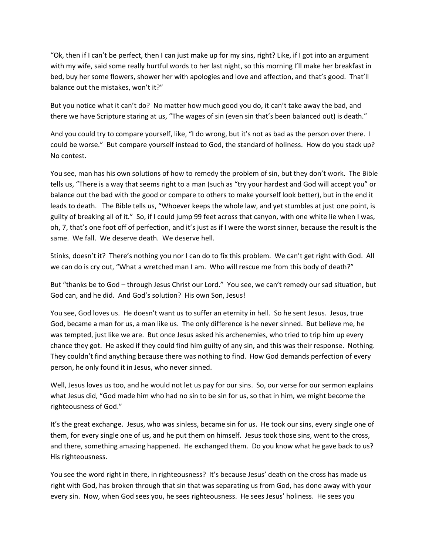"Ok, then if I can't be perfect, then I can just make up for my sins, right? Like, if I got into an argument with my wife, said some really hurtful words to her last night, so this morning I'll make her breakfast in bed, buy her some flowers, shower her with apologies and love and affection, and that's good. That'll balance out the mistakes, won't it?"

But you notice what it can't do? No matter how much good you do, it can't take away the bad, and there we have Scripture staring at us, "The wages of sin (even sin that's been balanced out) is death."

And you could try to compare yourself, like, "I do wrong, but it's not as bad as the person over there. I could be worse." But compare yourself instead to God, the standard of holiness. How do you stack up? No contest.

You see, man has his own solutions of how to remedy the problem of sin, but they don't work. The Bible tells us, "There is a way that seems right to a man (such as "try your hardest and God will accept you" or balance out the bad with the good or compare to others to make yourself look better), but in the end it leads to death. The Bible tells us, "Whoever keeps the whole law, and yet stumbles at just one point, is guilty of breaking all of it." So, if I could jump 99 feet across that canyon, with one white lie when I was, oh, 7, that's one foot off of perfection, and it's just as if I were the worst sinner, because the result is the same. We fall. We deserve death. We deserve hell.

Stinks, doesn't it? There's nothing you nor I can do to fix this problem. We can't get right with God. All we can do is cry out, "What a wretched man I am. Who will rescue me from this body of death?"

But "thanks be to God – through Jesus Christ our Lord." You see, we can't remedy our sad situation, but God can, and he did. And God's solution? His own Son, Jesus!

You see, God loves us. He doesn't want us to suffer an eternity in hell. So he sent Jesus. Jesus, true God, became a man for us, a man like us. The only difference is he never sinned. But believe me, he was tempted, just like we are. But once Jesus asked his archenemies, who tried to trip him up every chance they got. He asked if they could find him guilty of any sin, and this was their response. Nothing. They couldn't find anything because there was nothing to find. How God demands perfection of every person, he only found it in Jesus, who never sinned.

Well, Jesus loves us too, and he would not let us pay for our sins. So, our verse for our sermon explains what Jesus did, "God made him who had no sin to be sin for us, so that in him, we might become the righteousness of God."

It's the great exchange. Jesus, who was sinless, became sin for us. He took our sins, every single one of them, for every single one of us, and he put them on himself. Jesus took those sins, went to the cross, and there, something amazing happened. He exchanged them. Do you know what he gave back to us? His righteousness.

You see the word right in there, in righteousness? It's because Jesus' death on the cross has made us right with God, has broken through that sin that was separating us from God, has done away with your every sin. Now, when God sees you, he sees righteousness. He sees Jesus' holiness. He sees you